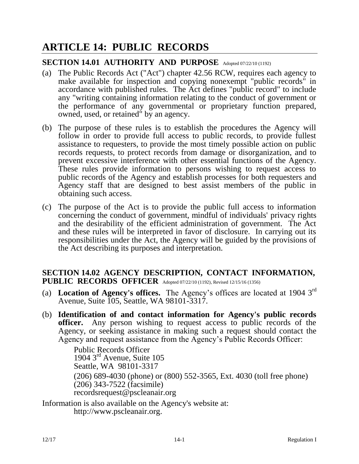# **ARTICLE 14: PUBLIC RECORDS**

### **SECTION 14.01 AUTHORITY AND PURPOSE** Adopted 07/22/10 (1192)

- (a) The Public Records Act ("Act") chapter 42.56 RCW, requires each agency to make available for inspection and copying nonexempt "public records" in accordance with published rules. The Act defines "public record" to include any "writing containing information relating to the conduct of government or the performance of any governmental or proprietary function prepared, owned, used, or retained" by an agency.
- (b) The purpose of these rules is to establish the procedures the Agency will follow in order to provide full access to public records, to provide fullest assistance to requesters, to provide the most timely possible action on public records requests, to protect records from damage or disorganization, and to prevent excessive interference with other essential functions of the Agency. These rules provide information to persons wishing to request access to public records of the Agency and establish processes for both requesters and Agency staff that are designed to best assist members of the public in obtaining such access.
- (c) The purpose of the Act is to provide the public full access to information concerning the conduct of government, mindful of individuals' privacy rights and the desirability of the efficient administration of government. The Act and these rules will be interpreted in favor of disclosure. In carrying out its responsibilities under the Act, the Agency will be guided by the provisions of the Act describing its purposes and interpretation.

### **SECTION 14.02 AGENCY DESCRIPTION, CONTACT INFORMATION, PUBLIC RECORDS OFFICER** Adopted 07/22/10 (1192), Revised 12/15/16 (1356)

- (a) **Location of Agency's offices.** The Agency's offices are located at 1904 3rd Avenue, Suite 105, Seattle, WA 98101-3317.
- (b) **Identification of and contact information for Agency's public records officer.** Any person wishing to request access to public records of the Agency, or seeking assistance in making such a request should contact the Agency and request assistance from the Agency's Public Records Officer:

Public Records Officer 1904 3rd Avenue, Suite 105 Seattle, WA 98101-3317 (206) 689-4030 (phone) or (800) 552-3565, Ext. 4030 (toll free phone) (206) 343-7522 (facsimile) recordsrequest@pscleanair.org

Information is also available on the Agency's website at: [http://www.pscleanair.org.](http://www.pscleanair.org/)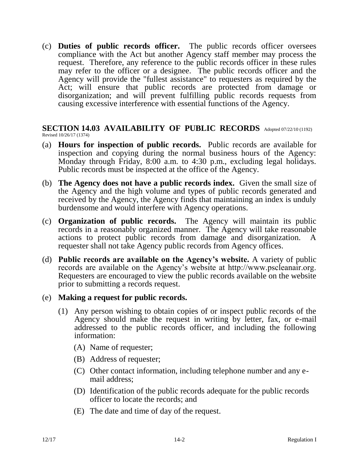(c) **Duties of public records officer.** The public records officer oversees compliance with the Act but another Agency staff member may process the request. Therefore, any reference to the public records officer in these rules may refer to the officer or a designee. The public records officer and the Agency will provide the "fullest assistance" to requesters as required by the Act; will ensure that public records are protected from damage or disorganization; and will prevent fulfilling public records requests from causing excessive interference with essential functions of the Agency.

#### **SECTION 14.03 AVAILABILITY OF PUBLIC RECORDS** Adopted 07/22/10 (1192) Revised 10/26/17 (1374)

- (a) **Hours for inspection of public records.** Public records are available for inspection and copying during the normal business hours of the Agency: Monday through Friday, 8:00 a.m. to 4:30 p.m., excluding legal holidays. Public records must be inspected at the office of the Agency.
- (b) **The Agency does not have a public records index.** Given the small size of the Agency and the high volume and types of public records generated and received by the Agency, the Agency finds that maintaining an index is unduly burdensome and would interfere with Agency operations.
- (c) **Organization of public records.** The Agency will maintain its public records in a reasonably organized manner. The Agency will take reasonable actions to protect public records from damage and disorganization. A requester shall not take Agency public records from Agency offices.
- (d) **Public records are available on the Agency's website.** A variety of public records are available on the Agency's website at http://www.pscleanair.org. Requesters are encouraged to view the public records available on the website prior to submitting a records request.

### (e) **Making a request for public records.**

- (1) Any person wishing to obtain copies of or inspect public records of the Agency should make the request in writing by letter, fax, or e-mail addressed to the public records officer, and including the following information:
	- (A) Name of requester;
	- (B) Address of requester;
	- (C) Other contact information, including telephone number and any email address;
	- (D) Identification of the public records adequate for the public records officer to locate the records; and
	- (E) The date and time of day of the request.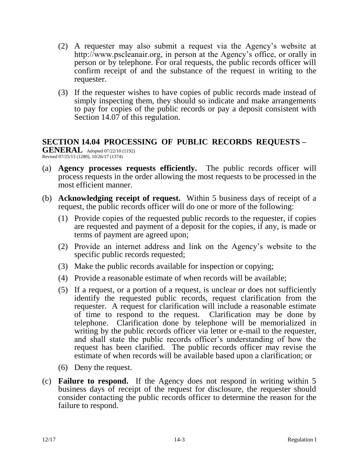- (2) A requester may also submit a request via the Agency's website at http://www.pscleanair.org, in person at the Agency's office, or orally in person or by telephone. For oral requests, the public records officer will confirm receipt of and the substance of the request in writing to the requester.
- (3) If the requester wishes to have copies of public records made instead of simply inspecting them, they should so indicate and make arrangements to pay for copies of the public records or pay a deposit consistent with Section 14.07 of this regulation.

# **SECTION 14.04 PROCESSING OF PUBLIC RECORDS REQUESTS –**

**GENERAL** Adopted 07/22/10 (1192) Revised 07/25/13 (1280), 10/26/17 (1374)

- (a) **Agency processes requests efficiently.** The public records officer will process requests in the order allowing the most requests to be processed in the most efficient manner.
- (b) **Acknowledging receipt of request.** Within 5 business days of receipt of a request, the public records officer will do one or more of the following:
	- (1) Provide copies of the requested public records to the requester, if copies are requested and payment of a deposit for the copies, if any, is made or terms of payment are agreed upon;
	- (2) Provide an internet address and link on the Agency's website to the specific public records requested;
	- (3) Make the public records available for inspection or copying;
	- (4) Provide a reasonable estimate of when records will be available;
	- (5) If a request, or a portion of a request, is unclear or does not sufficiently identify the requested public records, request clarification from the requester. A request for clarification will include a reasonable estimate of time to respond to the request. Clarification may be done by telephone. Clarification done by telephone will be memorialized in writing by the public records officer via letter or e-mail to the requester, and shall state the public records officer's understanding of how the request has been clarified. The public records officer may revise the estimate of when records will be available based upon a clarification; or
	- (6) Deny the request.
- (c) **Failure to respond.** If the Agency does not respond in writing within 5 business days of receipt of the request for disclosure, the requester should consider contacting the public records officer to determine the reason for the failure to respond.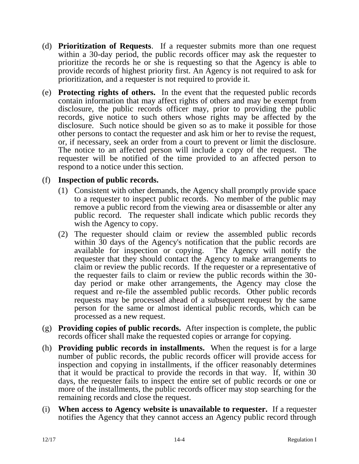- (d) **Prioritization of Requests**. If a requester submits more than one request within a 30-day period, the public records officer may ask the requester to prioritize the records he or she is requesting so that the Agency is able to provide records of highest priority first. An Agency is not required to ask for prioritization, and a requester is not required to provide it.
- (e) **Protecting rights of others.** In the event that the requested public records contain information that may affect rights of others and may be exempt from disclosure, the public records officer may, prior to providing the public records, give notice to such others whose rights may be affected by the disclosure. Such notice should be given so as to make it possible for those other persons to contact the requester and ask him or her to revise the request, or, if necessary, seek an order from a court to prevent or limit the disclosure. The notice to an affected person will include a copy of the request. The requester will be notified of the time provided to an affected person to respond to a notice under this section.

# (f) **Inspection of public records.**

- (1) Consistent with other demands, the Agency shall promptly provide space to a requester to inspect public records. No member of the public may remove a public record from the viewing area or disassemble or alter any public record. The requester shall indicate which public records they wish the Agency to copy.
- (2) The requester should claim or review the assembled public records within 30 days of the Agency's notification that the public records are available for inspection or copying. The Agency will notify the requester that they should contact the Agency to make arrangements to claim or review the public records. If the requester or a representative of the requester fails to claim or review the public records within the 30 day period or make other arrangements, the Agency may close the request and re-file the assembled public records. Other public records requests may be processed ahead of a subsequent request by the same person for the same or almost identical public records, which can be processed as a new request.
- (g) **Providing copies of public records.** After inspection is complete, the public records officer shall make the requested copies or arrange for copying.
- (h) **Providing public records in installments.** When the request is for a large number of public records, the public records officer will provide access for inspection and copying in installments, if the officer reasonably determines that it would be practical to provide the records in that way. If, within 30 days, the requester fails to inspect the entire set of public records or one or more of the installments, the public records officer may stop searching for the remaining records and close the request.
- (i) **When access to Agency website is unavailable to requester.** If a requester notifies the Agency that they cannot access an Agency public record through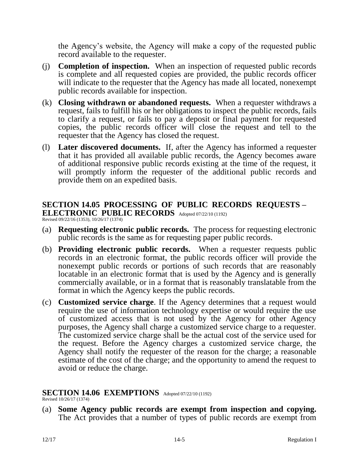the Agency's website, the Agency will make a copy of the requested public record available to the requester.

- (j) **Completion of inspection.** When an inspection of requested public records is complete and all requested copies are provided, the public records officer will indicate to the requester that the Agency has made all located, nonexempt public records available for inspection.
- (k) **Closing withdrawn or abandoned requests.** When a requester withdraws a request, fails to fulfill his or her obligations to inspect the public records, fails to clarify a request, or fails to pay a deposit or final payment for requested copies, the public records officer will close the request and tell to the requester that the Agency has closed the request.
- (l) **Later discovered documents.** If, after the Agency has informed a requester that it has provided all available public records, the Agency becomes aware of additional responsive public records existing at the time of the request, it will promptly inform the requester of the additional public records and provide them on an expedited basis.

# **SECTION 14.05 PROCESSING OF PUBLIC RECORDS REQUESTS –**

**ELECTRONIC PUBLIC RECORDS** Adopted 07/22/10 (1192)

Revised 09/22/16 (1353), 10/26/17 (1374)

- (a) **Requesting electronic public records.** The process for requesting electronic public records is the same as for requesting paper public records.
- (b) **Providing electronic public records.** When a requester requests public records in an electronic format, the public records officer will provide the nonexempt public records or portions of such records that are reasonably locatable in an electronic format that is used by the Agency and is generally commercially available, or in a format that is reasonably translatable from the format in which the Agency keeps the public records.
- (c) **Customized service charge**. If the Agency determines that a request would require the use of information technology expertise or would require the use of customized access that is not used by the Agency for other Agency purposes, the Agency shall charge a customized service charge to a requester. The customized service charge shall be the actual cost of the service used for the request. Before the Agency charges a customized service charge, the Agency shall notify the requester of the reason for the charge; a reasonable estimate of the cost of the charge; and the opportunity to amend the request to avoid or reduce the charge.

### **SECTION 14.06 EXEMPTIONS** Adopted 07/22/10 (1192)

Revised 10/26/17 (1374)

(a) **Some Agency public records are exempt from inspection and copying.** The Act provides that a number of types of public records are exempt from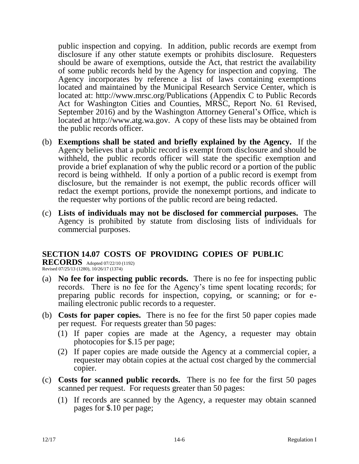public inspection and copying. In addition, public records are exempt from disclosure if any other statute exempts or prohibits disclosure. Requesters should be aware of exemptions, outside the Act, that restrict the availability of some public records held by the Agency for inspection and copying. The Agency incorporates by reference a list of laws containing exemptions located and maintained by the Municipal Research Service Center, which is located at: http://www.mrsc.org/Publications (Appendix C to Public Records Act for Washington Cities and Counties, MRSC, Report No. 61 Revised, September 2016) and by the Washington Attorney General's Office, which is located at http://www.atg.wa.gov. A copy of these lists may be obtained from the public records officer.

- (b) **Exemptions shall be stated and briefly explained by the Agency.** If the Agency believes that a public record is exempt from disclosure and should be withheld, the public records officer will state the specific exemption and provide a brief explanation of why the public record or a portion of the public record is being withheld. If only a portion of a public record is exempt from disclosure, but the remainder is not exempt, the public records officer will redact the exempt portions, provide the nonexempt portions, and indicate to the requester why portions of the public record are being redacted.
- (c) **Lists of individuals may not be disclosed for commercial purposes.** The Agency is prohibited by statute from disclosing lists of individuals for commercial purposes.

## **SECTION 14.07 COSTS OF PROVIDING COPIES OF PUBLIC**

**RECORDS** Adopted 07/22/10 (1192) Revised 07/25/13 (1280), 10/26/17 (1374)

- (a) **No fee for inspecting public records.** There is no fee for inspecting public records. There is no fee for the Agency's time spent locating records; for preparing public records for inspection, copying, or scanning; or for emailing electronic public records to a requester.
- (b) **Costs for paper copies.** There is no fee for the first 50 paper copies made per request. For requests greater than 50 pages:
	- (1) If paper copies are made at the Agency, a requester may obtain photocopies for \$.15 per page;
	- (2) If paper copies are made outside the Agency at a commercial copier, a requester may obtain copies at the actual cost charged by the commercial copier.
- (c) **Costs for scanned public records.** There is no fee for the first 50 pages scanned per request. For requests greater than 50 pages:
	- (1) If records are scanned by the Agency, a requester may obtain scanned pages for \$.10 per page;